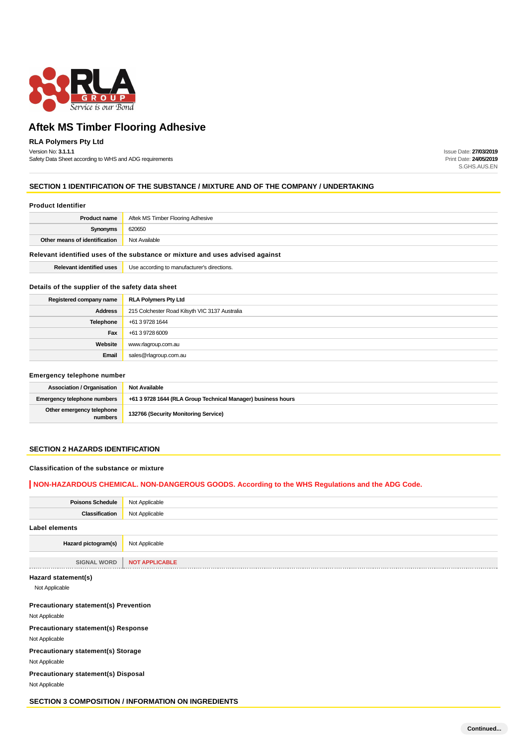

## **RLA Polymers Pty Ltd**

Version No: **3.1.1.1** Safety Data Sheet according to WHS and ADG requirements Issue Date: **27/03/2019** Print Date: **24/05/2019** S.GHS.AUS.EN

#### **SECTION 1 IDENTIFICATION OF THE SUBSTANCE / MIXTURE AND OF THE COMPANY / UNDERTAKING**

#### **Product Identifier**

| <b>Product name</b>                                                           | Aftek MS Timber Flooring Adhesive           |  |  |
|-------------------------------------------------------------------------------|---------------------------------------------|--|--|
| Synonyms                                                                      | 620650                                      |  |  |
| Other means of identification                                                 | Not Available                               |  |  |
| Relevant identified uses of the substance or mixture and uses advised against |                                             |  |  |
| <b>Relevant identified uses</b>                                               | Use according to manufacturer's directions. |  |  |

#### **Details of the supplier of the safety data sheet**

| Registered company name | <b>RLA Polymers Pty Ltd</b>                    |
|-------------------------|------------------------------------------------|
| <b>Address</b>          | 215 Colchester Road Kilsyth VIC 3137 Australia |
| <b>Telephone</b>        | +61 3 9728 1644                                |
| Fax                     | +61 3 9728 6009                                |
| Website                 | www.rlagroup.com.au                            |
| Email                   | sales@rlagroup.com.au                          |

#### **Emergency telephone number**

| Association / Organisation           | <b>Not Available</b>                                         |
|--------------------------------------|--------------------------------------------------------------|
| <b>Emergency telephone numbers</b>   | +61 3 9728 1644 (RLA Group Technical Manager) business hours |
| Other emergency telephone<br>numbers | 132766 (Security Monitoring Service)                         |

## **SECTION 2 HAZARDS IDENTIFICATION**

#### **Classification of the substance or mixture**

#### **NON-HAZARDOUS CHEMICAL. NON-DANGEROUS GOODS. According to the WHS Regulations and the ADG Code.**

| <b>Poisons Schedule</b> | Not Applicable        |
|-------------------------|-----------------------|
| Classification          | Not Applicable        |
| Label elements          |                       |
| Hazard pictogram(s)     | Not Applicable        |
|                         |                       |
| <b>SIGNAL WORD</b>      | <b>NOT APPLICABLE</b> |
| Hazard statement(s)     |                       |

Not Applicable

#### **Precautionary statement(s) Prevention**

Not Applicable

**Precautionary statement(s) Response**

Not Applicable

**Precautionary statement(s) Storage** Not Applicable

**Precautionary statement(s) Disposal**

Not Applicable

**SECTION 3 COMPOSITION / INFORMATION ON INGREDIENTS**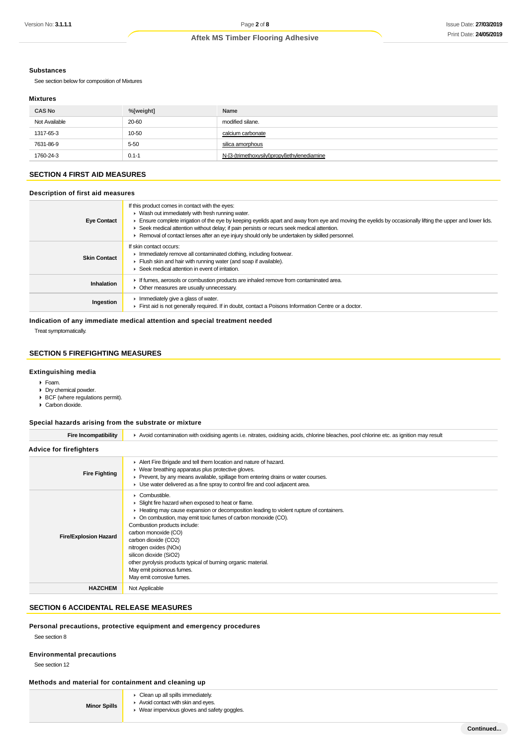#### **Substances**

See section below for composition of Mixtures

#### **Mixtures**

| <b>CAS No</b> | %[weight] | Name                                         |
|---------------|-----------|----------------------------------------------|
| Not Available | 20-60     | modified silane.                             |
| 1317-65-3     | 10-50     | calcium carbonate                            |
| 7631-86-9     | $5 - 50$  | silica amorphous                             |
| 1760-24-3     | $0.1 - 1$ | N-[3-(trimethoxysilyl)propyl]ethylenediamine |

## **SECTION 4 FIRST AID MEASURES**

#### **Description of first aid measures**

| <b>Eye Contact</b>  | If this product comes in contact with the eyes:<br>• Wash out immediately with fresh running water.<br>Ensure complete irrigation of the eye by keeping eyelids apart and away from eye and moving the eyelids by occasionally lifting the upper and lower lids.<br>► Seek medical attention without delay; if pain persists or recurs seek medical attention.<br>► Removal of contact lenses after an eye injury should only be undertaken by skilled personnel. |
|---------------------|-------------------------------------------------------------------------------------------------------------------------------------------------------------------------------------------------------------------------------------------------------------------------------------------------------------------------------------------------------------------------------------------------------------------------------------------------------------------|
| <b>Skin Contact</b> | If skin contact occurs:<br>In mediately remove all contaminated clothing, including footwear.<br>Flush skin and hair with running water (and soap if available).<br>▶ Seek medical attention in event of irritation.                                                                                                                                                                                                                                              |
| Inhalation          | If fumes, aerosols or combustion products are inhaled remove from contaminated area.<br>• Other measures are usually unnecessary.                                                                                                                                                                                                                                                                                                                                 |
| Ingestion           | $\blacktriangleright$ Immediately give a glass of water.<br>First aid is not generally required. If in doubt, contact a Poisons Information Centre or a doctor.                                                                                                                                                                                                                                                                                                   |

#### **Indication of any immediate medical attention and special treatment needed**

Treat symptomatically.

## **SECTION 5 FIREFIGHTING MEASURES**

#### **Extinguishing media**

- Foam.
- Dry chemical powder.
- BCF (where regulations permit).
- Carbon dioxide.

#### **Special hazards arising from the substrate or mixture**

| Fire Incompatibility           | Avoid contamination with oxidising agents i.e. nitrates, oxidising acids, chlorine bleaches, pool chlorine etc. as ignition may result                                                                                                                                                                                                                                                                                                                                                          |  |  |  |
|--------------------------------|-------------------------------------------------------------------------------------------------------------------------------------------------------------------------------------------------------------------------------------------------------------------------------------------------------------------------------------------------------------------------------------------------------------------------------------------------------------------------------------------------|--|--|--|
| <b>Advice for firefighters</b> |                                                                                                                                                                                                                                                                                                                                                                                                                                                                                                 |  |  |  |
| <b>Fire Fighting</b>           | Alert Fire Brigade and tell them location and nature of hazard.<br>▶ Wear breathing apparatus plus protective gloves.<br>► Prevent, by any means available, spillage from entering drains or water courses.<br>► Use water delivered as a fine spray to control fire and cool adjacent area.                                                                                                                                                                                                    |  |  |  |
| <b>Fire/Explosion Hazard</b>   | • Combustible.<br>Slight fire hazard when exposed to heat or flame.<br>► Heating may cause expansion or decomposition leading to violent rupture of containers.<br>• On combustion, may emit toxic fumes of carbon monoxide (CO).<br>Combustion products include:<br>carbon monoxide (CO)<br>carbon dioxide (CO2)<br>nitrogen oxides (NOx)<br>silicon dioxide (SiO2)<br>other pyrolysis products typical of burning organic material.<br>May emit poisonous fumes.<br>May emit corrosive fumes. |  |  |  |
| <b>HAZCHEM</b>                 | Not Applicable                                                                                                                                                                                                                                                                                                                                                                                                                                                                                  |  |  |  |

## **SECTION 6 ACCIDENTAL RELEASE MEASURES**

#### **Personal precautions, protective equipment and emergency procedures**

See section 8

#### **Environmental precautions**

See section 12

## **Methods and material for containment and cleaning up**

| • Clean up all spills immediately. |  |  |
|------------------------------------|--|--|
|                                    |  |  |

- **Minor Spills** Avoid contact with skin and eyes.
	- Wear impervious gloves and safety goggles.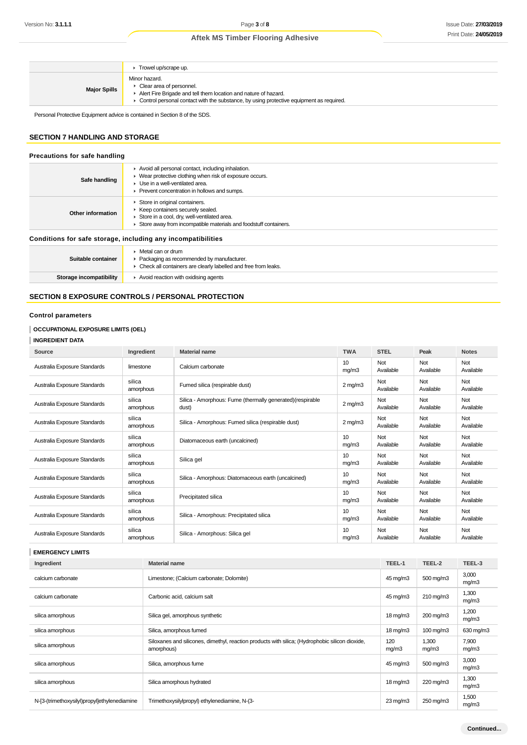|                     | Trowel up/scrape up.                                                                                                                                                                                                       |
|---------------------|----------------------------------------------------------------------------------------------------------------------------------------------------------------------------------------------------------------------------|
| <b>Major Spills</b> | Minor hazard.<br>$\triangleright$ Clear area of personnel.<br>Alert Fire Brigade and tell them location and nature of hazard.<br>► Control personal contact with the substance, by using protective equipment as required. |

Personal Protective Equipment advice is contained in Section 8 of the SDS.

## **SECTION 7 HANDLING AND STORAGE**

| Precautions for safe handling                                |                                                                                                                                                                                                    |  |  |
|--------------------------------------------------------------|----------------------------------------------------------------------------------------------------------------------------------------------------------------------------------------------------|--|--|
| Safe handling                                                | Avoid all personal contact, including inhalation.<br>• Wear protective clothing when risk of exposure occurs.<br>• Use in a well-ventilated area.<br>▶ Prevent concentration in hollows and sumps. |  |  |
| Other information                                            | Store in original containers.<br>▶ Keep containers securely sealed.<br>Store in a cool, dry, well-ventilated area.<br>Store away from incompatible materials and foodstuff containers.             |  |  |
| Conditions for safe storage, including any incompatibilities |                                                                                                                                                                                                    |  |  |
| Suitable container                                           | $\triangleright$ Metal can or drum<br>• Packaging as recommended by manufacturer.<br>• Check all containers are clearly labelled and free from leaks.                                              |  |  |
| Storage incompatibility                                      | $\blacktriangleright$ Avoid reaction with oxidising agents                                                                                                                                         |  |  |

## **SECTION 8 EXPOSURE CONTROLS / PERSONAL PROTECTION**

## **Control parameters**

## **OCCUPATIONAL EXPOSURE LIMITS (OEL)**

**INGREDIENT DATA**

| Source                       | Ingredient          | <b>Material name</b>                                                | <b>TWA</b>               | <b>STEL</b>             | Peak             | <b>Notes</b>     |
|------------------------------|---------------------|---------------------------------------------------------------------|--------------------------|-------------------------|------------------|------------------|
| Australia Exposure Standards | limestone           | Calcium carbonate                                                   | 10 <sup>1</sup><br>mg/m3 | Not<br>Available        | Not<br>Available | Not<br>Available |
| Australia Exposure Standards | silica<br>amorphous | Fumed silica (respirable dust)                                      | $2$ mg/m $3$             | Not<br>Available        | Not<br>Available | Not<br>Available |
| Australia Exposure Standards | silica<br>amorphous | Silica - Amorphous: Fume (thermally generated) (respirable<br>dust) | $2$ mg/m $3$             | <b>Not</b><br>Available | Not<br>Available | Not<br>Available |
| Australia Exposure Standards | silica<br>amorphous | Silica - Amorphous: Fumed silica (respirable dust)                  | $2$ mg/m $3$             | <b>Not</b><br>Available | Not<br>Available | Not<br>Available |
| Australia Exposure Standards | silica<br>amorphous | Diatomaceous earth (uncalcined)                                     | 10<br>mg/m3              | Not<br>Available        | Not<br>Available | Not<br>Available |
| Australia Exposure Standards | silica<br>amorphous | Silica gel                                                          | 10<br>mg/m3              | Not<br>Available        | Not<br>Available | Not<br>Available |
| Australia Exposure Standards | silica<br>amorphous | Silica - Amorphous: Diatomaceous earth (uncalcined)                 | 10<br>mg/m3              | Not<br>Available        | Not<br>Available | Not<br>Available |
| Australia Exposure Standards | silica<br>amorphous | Precipitated silica                                                 | 10<br>mg/m3              | Not<br>Available        | Not<br>Available | Not<br>Available |
| Australia Exposure Standards | silica<br>amorphous | Silica - Amorphous: Precipitated silica                             | 10<br>mq/m3              | Not<br>Available        | Not<br>Available | Not<br>Available |
| Australia Exposure Standards | silica<br>amorphous | Silica - Amorphous: Silica gel                                      | 10<br>mg/m3              | Not<br>Available        | Not<br>Available | Not<br>Available |

## **EMERGENCY LIMITS**

| Ingredient                                   | <b>Material name</b>                                                                                          | TEEL-1            | TEEL-2                | TEEL-3         |
|----------------------------------------------|---------------------------------------------------------------------------------------------------------------|-------------------|-----------------------|----------------|
| calcium carbonate                            | Limestone; (Calcium carbonate; Dolomite)                                                                      | 45 mg/m3          | 500 mg/m3             | 3,000<br>mg/m3 |
| calcium carbonate                            | Carbonic acid, calcium salt                                                                                   | 45 mg/m3          | 210 mg/m3             | 1,300<br>mg/m3 |
| silica amorphous                             | Silica gel, amorphous synthetic                                                                               | $18 \text{ mg/m}$ | 200 mg/m3             | 1,200<br>mg/m3 |
| silica amorphous                             | Silica, amorphous fumed                                                                                       | $18 \text{ mg/m}$ | $100 \,\mathrm{mg/m}$ | 630 mg/m3      |
| silica amorphous                             | Siloxanes and silicones, dimethyl, reaction products with silica; (Hydrophobic silicon dioxide,<br>amorphous) | 120<br>mg/m3      | 1,300<br>mg/m3        | 7,900<br>mg/m3 |
| silica amorphous                             | Silica, amorphous fume                                                                                        | 45 mg/m3          | 500 mg/m3             | 3,000<br>mg/m3 |
| silica amorphous                             | Silica amorphous hydrated                                                                                     | $18 \text{ mg/m}$ | 220 mg/m3             | 1,300<br>mg/m3 |
| N-[3-(trimethoxysilyl)propyl]ethylenediamine | Trimethoxysilylpropyl) ethylenediamine, N-(3-                                                                 | $23 \text{ mg/m}$ | 250 mg/m3             | 1,500<br>mg/m3 |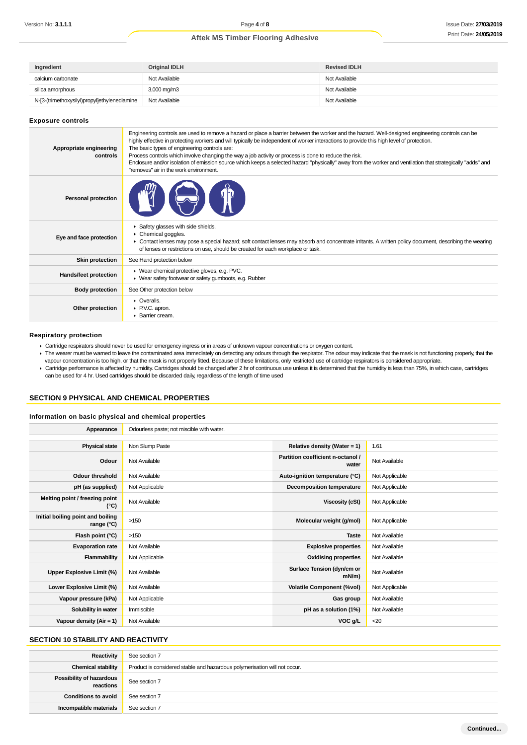| Ingredient                                   | Original IDLH           | <b>Revised IDLH</b> |
|----------------------------------------------|-------------------------|---------------------|
| calcium carbonate                            | Not Available           | Not Available       |
| silica amorphous                             | $3,000 \,\mathrm{mg/m}$ | Not Available       |
| N-[3-(trimethoxysilyl)propyl]ethylenediamine | Not Available           | Not Available       |

#### **Exposure controls**

| Appropriate engineering<br>controls | Engineering controls are used to remove a hazard or place a barrier between the worker and the hazard. Well-designed engineering controls can be<br>highly effective in protecting workers and will typically be independent of worker interactions to provide this high level of protection.<br>The basic types of engineering controls are:<br>Process controls which involve changing the way a job activity or process is done to reduce the risk.<br>Enclosure and/or isolation of emission source which keeps a selected hazard "physically" away from the worker and ventilation that strategically "adds" and<br>"removes" air in the work environment |
|-------------------------------------|----------------------------------------------------------------------------------------------------------------------------------------------------------------------------------------------------------------------------------------------------------------------------------------------------------------------------------------------------------------------------------------------------------------------------------------------------------------------------------------------------------------------------------------------------------------------------------------------------------------------------------------------------------------|
| <b>Personal protection</b>          |                                                                                                                                                                                                                                                                                                                                                                                                                                                                                                                                                                                                                                                                |
| Eye and face protection             | Safety glasses with side shields.<br>Chemical goggles.<br>► Contact lenses may pose a special hazard; soft contact lenses may absorb and concentrate irritants. A written policy document, describing the wearing<br>of lenses or restrictions on use, should be created for each workplace or task.                                                                                                                                                                                                                                                                                                                                                           |
| <b>Skin protection</b>              | See Hand protection below                                                                                                                                                                                                                                                                                                                                                                                                                                                                                                                                                                                                                                      |
| Hands/feet protection               | ▶ Wear chemical protective gloves, e.g. PVC.<br>▶ Wear safety footwear or safety gumboots, e.g. Rubber                                                                                                                                                                                                                                                                                                                                                                                                                                                                                                                                                         |
| <b>Body protection</b>              | See Other protection below                                                                                                                                                                                                                                                                                                                                                                                                                                                                                                                                                                                                                                     |
| Other protection                    | $\triangleright$ Overalls.<br>▶ P.V.C. apron.<br>▶ Barrier cream.                                                                                                                                                                                                                                                                                                                                                                                                                                                                                                                                                                                              |

#### **Respiratory protection**

- Cartridge respirators should never be used for emergency ingress or in areas of unknown vapour concentrations or oxygen content.
- The wearer must be warned to leave the contaminated area immediately on detecting any odours through the respirator. The odour may indicate that the mask is not functioning properly, that the vapour concentration is too high, or that the mask is not properly fitted. Because of these limitations, only restricted use of cartridge respirators is considered appropriate. ▶ Cartridge performance is affected by humidity. Cartridges should be changed after 2 hr of continuous use unless it is determined that the humidity is less than 75%, in which case, cartridges
- can be used for 4 hr. Used cartridges should be discarded daily, regardless of the length of time used

## **SECTION 9 PHYSICAL AND CHEMICAL PROPERTIES**

#### **Information on basic physical and chemical properties**

| Appearance                                      | Odourless paste; not miscible with water. |                                            |                |
|-------------------------------------------------|-------------------------------------------|--------------------------------------------|----------------|
|                                                 |                                           |                                            |                |
| <b>Physical state</b>                           | Non Slump Paste                           | Relative density (Water = $1$ )            | 1.61           |
| Odour                                           | Not Available                             | Partition coefficient n-octanol /<br>water | Not Available  |
| <b>Odour threshold</b>                          | Not Available                             | Auto-ignition temperature (°C)             | Not Applicable |
| pH (as supplied)                                | Not Applicable                            | Decomposition temperature                  | Not Applicable |
| Melting point / freezing point<br>$(^{\circ}C)$ | Not Available                             | <b>Viscosity (cSt)</b>                     | Not Applicable |
| Initial boiling point and boiling<br>range (°C) | >150                                      | Molecular weight (g/mol)                   | Not Applicable |
| Flash point (°C)                                | >150                                      | <b>Taste</b>                               | Not Available  |
| <b>Evaporation rate</b>                         | Not Available                             | <b>Explosive properties</b>                | Not Available  |
| Flammability                                    | Not Applicable                            | <b>Oxidising properties</b>                | Not Available  |
| Upper Explosive Limit (%)                       | Not Available                             | Surface Tension (dyn/cm or<br>$mN/m$ )     | Not Available  |
| Lower Explosive Limit (%)                       | Not Available                             | <b>Volatile Component (%vol)</b>           | Not Applicable |
| Vapour pressure (kPa)                           | Not Applicable                            | Gas group                                  | Not Available  |
| Solubility in water                             | Immiscible                                | pH as a solution (1%)                      | Not Available  |
| Vapour density $(Air = 1)$                      | Not Available                             | VOC g/L                                    | $20$           |

## **SECTION 10 STABILITY AND REACTIVITY**

| Reactivity                            | See section 7                                                             |
|---------------------------------------|---------------------------------------------------------------------------|
| <b>Chemical stability</b>             | Product is considered stable and hazardous polymerisation will not occur. |
| Possibility of hazardous<br>reactions | See section 7                                                             |
| <b>Conditions to avoid</b>            | See section 7                                                             |
| Incompatible materials                | See section 7                                                             |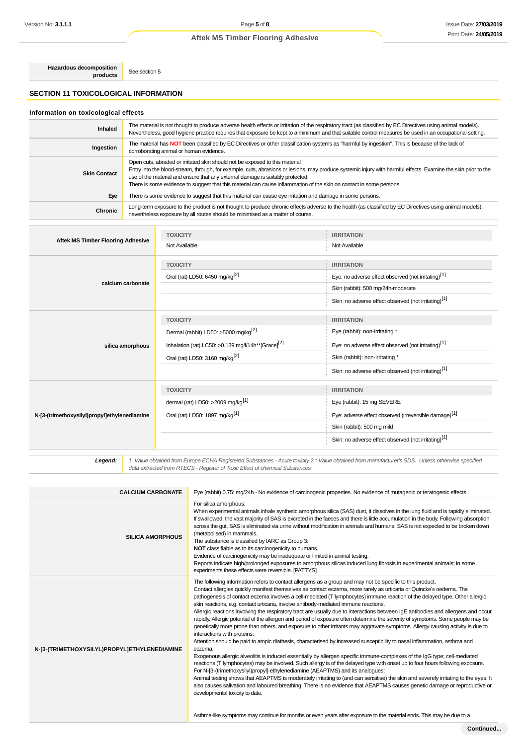**Hazardous decomposition products** See section 5

## **SECTION 11 TOXICOLOGICAL INFORMATION**

## **Information on toxicological effects**

| Inhaled             | The material is not thought to produce adverse health effects or irritation of the respiratory tract (as classified by EC Directives using animal models).<br>Nevertheless, good hygiene practice requires that exposure be kept to a minimum and that suitable control measures be used in an occupational setting.                                                                                                                                   |
|---------------------|--------------------------------------------------------------------------------------------------------------------------------------------------------------------------------------------------------------------------------------------------------------------------------------------------------------------------------------------------------------------------------------------------------------------------------------------------------|
| Ingestion           | The material has NOT been classified by EC Directives or other classification systems as "harmful by ingestion". This is because of the lack of<br>corroborating animal or human evidence.                                                                                                                                                                                                                                                             |
| <b>Skin Contact</b> | Open cuts, abraded or irritated skin should not be exposed to this material<br>Entry into the blood-stream, through, for example, cuts, abrasions or lesions, may produce systemic injury with harmful effects. Examine the skin prior to the<br>use of the material and ensure that any external damage is suitably protected.<br>There is some evidence to suggest that this material can cause inflammation of the skin on contact in some persons. |
| Eye                 | There is some evidence to suggest that this material can cause eye irritation and damage in some persons.                                                                                                                                                                                                                                                                                                                                              |
| Chronic             | Long-term exposure to the product is not thought to produce chronic effects adverse to the health (as classified by EC Directives using animal models);<br>nevertheless exposure by all routes should be minimised as a matter of course.                                                                                                                                                                                                              |

| <b>Aftek MS Timber Flooring Adhesive</b>     | <b>TOXICITY</b>                                                | <b>IRRITATION</b>                                                 |
|----------------------------------------------|----------------------------------------------------------------|-------------------------------------------------------------------|
|                                              | Not Available                                                  | Not Available                                                     |
|                                              | <b>TOXICITY</b>                                                | <b>IRRITATION</b>                                                 |
| calcium carbonate                            | Oral (rat) LD50: 6450 mg/kg <sup>[2]</sup>                     | Eye: no adverse effect observed (not irritating) <sup>[1]</sup>   |
|                                              |                                                                | Skin (rabbit): 500 mg/24h-moderate                                |
|                                              |                                                                | Skin: no adverse effect observed (not irritating) <sup>[1]</sup>  |
|                                              | <b>TOXICITY</b>                                                | <b>IRRITATION</b>                                                 |
|                                              | Dermal (rabbit) LD50: >5000 mg/kg <sup>[2]</sup>               | Eye (rabbit): non-irritating *                                    |
| silica amorphous                             | Inhalation (rat) LC50: >0.139 mg/l/14h**[Grace] <sup>[2]</sup> | Eye: no adverse effect observed (not irritating) <sup>[1]</sup>   |
|                                              | Oral (rat) LD50: 3160 mg/kg <sup>[2]</sup>                     | Skin (rabbit): non-irritating *                                   |
|                                              |                                                                | Skin: no adverse effect observed (not irritating)[1]              |
|                                              | <b>TOXICITY</b>                                                | <b>IRRITATION</b>                                                 |
| N-[3-(trimethoxysilyl)propyl]ethylenediamine | dermal (rat) LD50: >2009 mg/kg <sup>[1]</sup>                  | Eye (rabbit): 15 mg SEVERE                                        |
|                                              | Oral (rat) LD50: 1897 mg/kg <sup>[1]</sup>                     | Eye: adverse effect observed (irreversible damage) <sup>[1]</sup> |
|                                              |                                                                | Skin (rabbit): 500 mg mild                                        |
|                                              |                                                                | Skin: no adverse effect observed (not irritating) <sup>[1]</sup>  |
|                                              |                                                                |                                                                   |

1. Value obtained from Europe ECHA Registered Substances - Acute toxicity 2.\* Value obtained from manufacturer's SDS. Unless otherwise specified<br>data extracted from RTECS - Register of Toxic Effect of chemical Substances

| <b>CALCIUM CARBONATE</b>                     | Eye (rabbit) 0.75: mg/24h - No evidence of carcinogenic properties. No evidence of mutagenic or teratogenic effects.                                                                                                                                                                                                                                                                                                                                                                                                                                                                                                                                                                                                                                                                                                                                                                                                                                                                                                                                                                                                                                                                                                                                                                                                                                                                                                                                                                                                                                                                                                                                                                                                                                                                                                  |
|----------------------------------------------|-----------------------------------------------------------------------------------------------------------------------------------------------------------------------------------------------------------------------------------------------------------------------------------------------------------------------------------------------------------------------------------------------------------------------------------------------------------------------------------------------------------------------------------------------------------------------------------------------------------------------------------------------------------------------------------------------------------------------------------------------------------------------------------------------------------------------------------------------------------------------------------------------------------------------------------------------------------------------------------------------------------------------------------------------------------------------------------------------------------------------------------------------------------------------------------------------------------------------------------------------------------------------------------------------------------------------------------------------------------------------------------------------------------------------------------------------------------------------------------------------------------------------------------------------------------------------------------------------------------------------------------------------------------------------------------------------------------------------------------------------------------------------------------------------------------------------|
| <b>SILICA AMORPHOUS</b>                      | For silica amorphous:<br>When experimental animals inhale synthetic amorphous silica (SAS) dust, it dissolves in the lung fluid and is rapidly eliminated.<br>If swallowed, the vast majority of SAS is excreted in the faeces and there is little accumulation in the body. Following absorption<br>across the gut, SAS is eliminated via urine without modification in animals and humans. SAS is not expected to be broken down<br>(metabolised) in mammals.<br>The substance is classified by IARC as Group 3:<br>NOT classifiable as to its carcinogenicity to humans.<br>Evidence of carcinogenicity may be inadequate or limited in animal testing.<br>Reports indicate high/prolonged exposures to amorphous silicas induced lung fibrosis in experimental animals; in some<br>experiments these effects were reversible. [PATTYS]                                                                                                                                                                                                                                                                                                                                                                                                                                                                                                                                                                                                                                                                                                                                                                                                                                                                                                                                                                            |
| N-[3-(TRIMETHOXYSILYL)PROPYL]ETHYLENEDIAMINE | The following information refers to contact allergens as a group and may not be specific to this product.<br>Contact allergies quickly manifest themselves as contact eczema, more rarely as urticaria or Quincke's oedema. The<br>pathogenesis of contact eczema involves a cell-mediated (T lymphocytes) immune reaction of the delayed type. Other allergic<br>skin reactions, e.g. contact urticaria, involve antibody-mediated immune reactions.<br>Allergic reactions involving the respiratory tract are usually due to interactions between IgE antibodies and allergens and occur<br>rapidly. Allergic potential of the allergen and period of exposure often determine the severity of symptoms. Some people may be<br>genetically more prone than others, and exposure to other irritants may aggravate symptoms. Allergy causing activity is due to<br>interactions with proteins.<br>Attention should be paid to atopic diathesis, characterised by increased susceptibility to nasal inflammation, asthma and<br>eczema.<br>Exogenous allergic alveolitis is induced essentially by allergen specific immune-complexes of the IgG type; cell-mediated<br>reactions (T lymphocytes) may be involved. Such allergy is of the delayed type with onset up to four hours following exposure.<br>For N-[3-(trimethoxysilyl)propyl]-ethylenediamine (AEAPTMS) and its analogues:<br>Animal testing shows that AEAPTMS is moderately irritating to (and can sensitise) the skin and severely irritating to the eyes. It<br>also causes salivation and laboured breathing. There is no evidence that AEAPTMS causes genetic damage or reproductive or<br>developmental toxicity to date.<br>Asthma-like symptoms may continue for months or even years after exposure to the material ends. This may be due to a |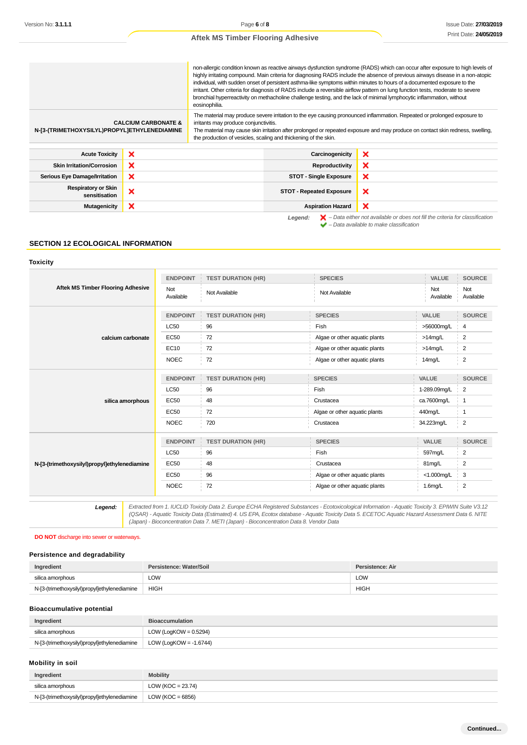non-allergic condition known as reactive airways dysfunction syndrome (RADS) which can occur after exposure to high levels of highly irritating compound. Main criteria for diagnosing RADS include the absence of previous airways disease in a non-atopic individual, with sudden onset of persistent asthma-like symptoms within minutes to hours of a documented exposure to the irritant. Other criteria for diagnosis of RADS include a reversible airflow pattern on lung function tests, moderate to severe bronchial hyperreactivity on methacholine challenge testing, and the lack of minimal lymphocytic inflammation, without eosinophilia. The material may produce severe irritation to the eye causing pronounced inflammation. Repeated or prolonged exposure to **CALCIUM CARBONATE &** irritants may produce conjunctivitis. **N-[3-(TRIMETHOXYSILYL)PROPYL]ETHYLENEDIAMINE** The material may cause skin irritation after prolonged or repeated exposure and may produce on contact skin redness, swelling, the production of vesicles, scaling and thickening of the skin. **Acute Toxicity Carcinogenicity Carcinogenicity**  $\boldsymbol{\mathsf{x}}$ **Skin Irritation/Corrosion X Reproductivity** × **Serious Eye Damage/Irritation STOT - Single Exposure**  $\boldsymbol{\mathsf{x}}$ **Respiratory or Skin ratory or Skin**<br>sensitisation **X**  $\mathbf x$  $\boldsymbol{\mathsf{x}}$ **Mutagenicity Aspiration Hazard** 

Legend:  $\mathsf{X}$  – Data either not available or does not fill the criteria for classification  $\blacktriangleright$  – Data available to make classification

#### **SECTION 12 ECOLOGICAL INFORMATION**

#### **Toxicity**

|                                              | <b>ENDPOINT</b>  | <b>TEST DURATION (HR)</b> | <b>SPECIES</b>                | VALUE            | <b>SOURCE</b>    |
|----------------------------------------------|------------------|---------------------------|-------------------------------|------------------|------------------|
| <b>Aftek MS Timber Flooring Adhesive</b>     | Not<br>Available | Not Available             | Not Available                 | Not<br>Available | Not<br>Available |
|                                              | <b>ENDPOINT</b>  | <b>TEST DURATION (HR)</b> | <b>SPECIES</b>                | VALUE            | <b>SOURCE</b>    |
|                                              | <b>LC50</b>      | 96                        | Fish                          | >56000mg/L       | 4                |
| calcium carbonate                            | <b>EC50</b>      | 72                        | Algae or other aquatic plants | $>14$ mg/L       | 2                |
|                                              | EC10             | 72                        | Algae or other aquatic plants | $>14$ mg/L       | $\overline{2}$   |
|                                              | <b>NOEC</b>      | 72                        | Algae or other aquatic plants | 14mg/L           | 2                |
|                                              | <b>ENDPOINT</b>  | <b>TEST DURATION (HR)</b> | <b>SPECIES</b>                | VALUE            | <b>SOURCE</b>    |
|                                              | <b>LC50</b>      | 96                        | Fish                          | 1-289.09mg/L     | $\overline{2}$   |
| silica amorphous                             | <b>EC50</b>      | 48                        | Crustacea                     | ca.7600mg/L      | -1               |
|                                              | <b>EC50</b>      | 72                        | Algae or other aquatic plants | 440mg/L          | -1               |
|                                              | <b>NOEC</b>      | 720                       | Crustacea                     | 34.223mg/L       | $\overline{2}$   |
|                                              | <b>ENDPOINT</b>  | <b>TEST DURATION (HR)</b> | <b>SPECIES</b>                | <b>VALUE</b>     | <b>SOURCE</b>    |
|                                              | <b>LC50</b>      | 96                        | Fish                          | 597mg/L          | 2                |
| N-[3-(trimethoxysilyl)propyl]ethylenediamine | EC50             | 48                        | Crustacea                     | 81mg/L           | $\overline{2}$   |
|                                              | EC50             | 96                        | Algae or other aquatic plants | <1.000mg/L       | 3                |
|                                              | <b>NOEC</b>      | 72                        | Algae or other aquatic plants | $1.6$ mg/L       | $\overline{2}$   |

**Legend:** Extracted from 1. IUCLID Toxicity Data 2. Europe ECHA Registered Substances - Ecotoxicological Information - Aquatic Toxicity 3. EPIWIN Suite V3.12 (QSAR) - Aquatic Toxicity Data (Estimated) 4. US EPA, Ecotox database - Aquatic Toxicity Data 5. ECETOC Aquatic Hazard Assessment Data 6. NITE (Japan) - Bioconcentration Data 7. METI (Japan) - Bioconcentration Data 8. Vendor Data

#### **DO NOT** discharge into sewer or waterways.

## **Persistence and degradability**

| Ingredient                                   | Persistence: Water/Soil | Persistence: Air |
|----------------------------------------------|-------------------------|------------------|
| silica amorphous                             | LOW                     | LOW              |
| N-[3-(trimethoxysilyl)propyl]ethylenediamine | <b>HIGH</b>             | <b>HIGH</b>      |

#### **Bioaccumulative potential**

| Ingredient                                   | <b>Bioaccumulation</b>         |
|----------------------------------------------|--------------------------------|
| silica amorphous                             | LOW (LogKOW = $0.5294$ )       |
| N-[3-(trimethoxysilyl)propyl]ethylenediamine | $\vert$ LOW (LogKOW = -1.6744) |

## **Mobility in soil**

| Ingredient                                   | <b>Mobility</b>       |
|----------------------------------------------|-----------------------|
| silica amorphous                             | LOW ( $KOC = 23.74$ ) |
| N-[3-(trimethoxysilyl)propyl]ethylenediamine | LOW (KOC = 6856)      |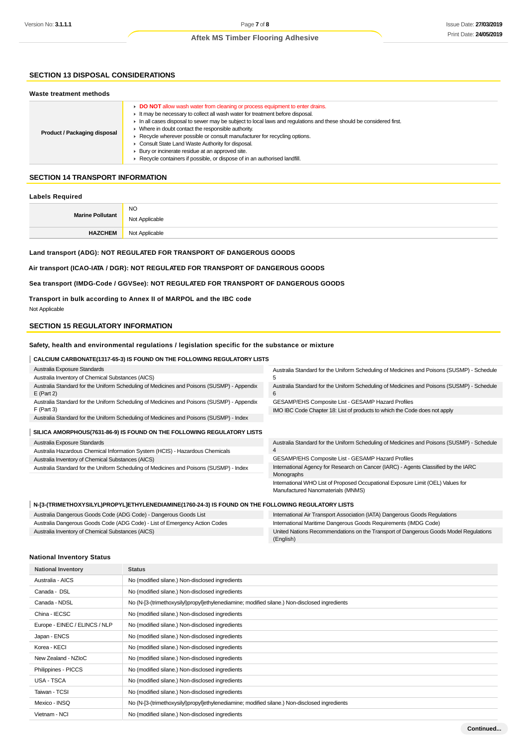## **SECTION 13 DISPOSAL CONSIDERATIONS**

#### **Waste treatment methods**

| Product / Packaging disposal | DO NOT allow wash water from cleaning or process equipment to enter drains.<br>It may be necessary to collect all wash water for treatment before disposal.<br>$\blacktriangleright$ In all cases disposal to sewer may be subject to local laws and regulations and these should be considered first.<br>Where in doubt contact the responsible authority.<br>Recycle wherever possible or consult manufacturer for recycling options.<br>Consult State Land Waste Authority for disposal.<br>Bury or incinerate residue at an approved site.<br>Recycle containers if possible, or dispose of in an authorised landfill. |
|------------------------------|----------------------------------------------------------------------------------------------------------------------------------------------------------------------------------------------------------------------------------------------------------------------------------------------------------------------------------------------------------------------------------------------------------------------------------------------------------------------------------------------------------------------------------------------------------------------------------------------------------------------------|
|------------------------------|----------------------------------------------------------------------------------------------------------------------------------------------------------------------------------------------------------------------------------------------------------------------------------------------------------------------------------------------------------------------------------------------------------------------------------------------------------------------------------------------------------------------------------------------------------------------------------------------------------------------------|

#### **SECTION 14 TRANSPORT INFORMATION**

#### **Labels Required**

| <b>Marine Pollutant</b> | <b>NO</b><br>Not Applicable |
|-------------------------|-----------------------------|
| <b>HAZCHEM</b>          | Not Applicable              |

## **Land transport (ADG): NOT REGULATED FOR TRANSPORT OF DANGEROUS GOODS**

**Air transport (ICAO-IATA / DGR): NOT REGULATED FOR TRANSPORT OF DANGEROUS GOODS**

#### **Sea transport (IMDG-Code / GGVSee): NOT REGULATED FOR TRANSPORT OF DANGEROUS GOODS**

**Transport in bulk according to Annex II of MARPOL and the IBC code** Not Applicable

## **SECTION 15 REGULATORY INFORMATION**

#### **Safety, health and environmental regulations / legislation specific for the substance or mixture**

| <b>CALCIUM CARBONATE(1317-65-3) IS FOUND ON THE FOLLOWING REGULATORY LISTS</b>                            |                                                                                                |
|-----------------------------------------------------------------------------------------------------------|------------------------------------------------------------------------------------------------|
| Australia Exposure Standards                                                                              | Australia Standard for the Uniform Scheduling of Medicines and Poisons (SUSMP) - Schedule      |
| Australia Inventory of Chemical Substances (AICS)                                                         |                                                                                                |
| Australia Standard for the Uniform Scheduling of Medicines and Poisons (SUSMP) - Appendix<br>$E$ (Part 2) | Australia Standard for the Uniform Scheduling of Medicines and Poisons (SUSMP) - Schedule<br>6 |
| Australia Standard for the Uniform Scheduling of Medicines and Poisons (SUSMP) - Appendix                 | GESAMP/EHS Composite List - GESAMP Hazard Profiles                                             |
| $F$ (Part 3)                                                                                              | IMO IBC Code Chapter 18: List of products to which the Code does not apply                     |
| Australia Standard for the Uniform Scheduling of Medicines and Poisons (SUSMP) - Index                    |                                                                                                |
| SILICA AMORPHOUS(7631-86-9) IS FOUND ON THE FOLLOWING REGULATORY LISTS                                    |                                                                                                |
| Australia Exposure Standards                                                                              | Australia Standard for the Uniform Scheduling of Medicines and Poisons (SUSMP) - Schedule      |
| Australia Hazardous Chemical Information System (HCIS) - Hazardous Chemicals                              |                                                                                                |
| Australia Inventory of Chemical Substances (AICS)                                                         | GESAMP/EHS Composite List - GESAMP Hazard Profiles                                             |

Australia Standard for the Uniform Scheduling of Medicines and Poisons (SUSMP) - Index

International Agency for Research on Cancer (IARC) - Agents Classified by the IARC Monographs International WHO List of Proposed Occupational Exposure Limit (OEL) Values for Manufactured Nanomaterials (MNMS)

#### **N-[3-(TRIMETHOXYSILYL)PROPYL]ETHYLENEDIAMINE(1760-24-3) IS FOUND ON THE FOLLOWING REGULATORY LISTS**

| Australia Dangerous Goods Code (ADG Code) - Dangerous Goods List           | International Air Transport Association (IATA) Dangerous Goods Regulations           |
|----------------------------------------------------------------------------|--------------------------------------------------------------------------------------|
| Australia Dangerous Goods Code (ADG Code) - List of Emergency Action Codes | International Maritime Dangerous Goods Requirements (IMDG Code)                      |
| Australia Inventory of Chemical Substances (AICS)                          | United Nations Recommendations on the Transport of Dangerous Goods Model Regulations |
|                                                                            | (English)                                                                            |

## **National Inventory Status**

| <b>National Inventory</b>                                        | <b>Status</b>                                                                                 |  |
|------------------------------------------------------------------|-----------------------------------------------------------------------------------------------|--|
| Australia - AICS                                                 | No (modified silane.) Non-disclosed ingredients                                               |  |
| Canada - DSL<br>No (modified silane.) Non-disclosed ingredients  |                                                                                               |  |
| Canada - NDSL                                                    | No (N-[3-(trimethoxysilyl)propyl]ethylenediamine; modified silane.) Non-disclosed ingredients |  |
| China - IECSC<br>No (modified silane.) Non-disclosed ingredients |                                                                                               |  |
| Europe - EINEC / ELINCS / NLP                                    | No (modified silane.) Non-disclosed ingredients                                               |  |
| Japan - ENCS                                                     | No (modified silane.) Non-disclosed ingredients                                               |  |
| Korea - KECI                                                     | No (modified silane.) Non-disclosed ingredients                                               |  |
| New Zealand - NZIoC                                              | No (modified silane.) Non-disclosed ingredients                                               |  |
| Philippines - PICCS                                              | No (modified silane.) Non-disclosed ingredients                                               |  |
| USA - TSCA                                                       | No (modified silane.) Non-disclosed ingredients                                               |  |
| Taiwan - TCSI                                                    | No (modified silane.) Non-disclosed ingredients                                               |  |
| Mexico - INSQ                                                    | No (N-[3-(trimethoxysilyl)propyl]ethylenediamine; modified silane.) Non-disclosed ingredients |  |
| Vietnam - NCI                                                    | No (modified silane.) Non-disclosed ingredients                                               |  |